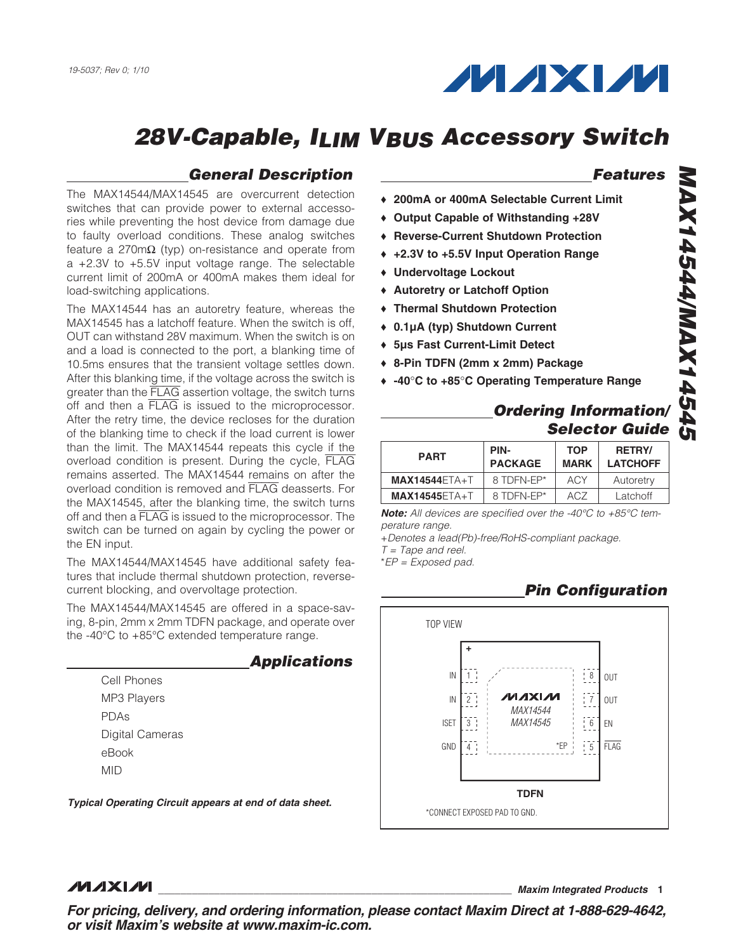

### *General Description*

The MAX14544/MAX14545 are overcurrent detection switches that can provide power to external accessories while preventing the host device from damage due to faulty overload conditions. These analog switches feature a 270m $\Omega$  (typ) on-resistance and operate from a +2.3V to +5.5V input voltage range. The selectable current limit of 200mA or 400mA makes them ideal for load-switching applications.

The MAX14544 has an autoretry feature, whereas the MAX14545 has a latchoff feature. When the switch is off, OUT can withstand 28V maximum. When the switch is on and a load is connected to the port, a blanking time of 10.5ms ensures that the transient voltage settles down. After this blanking time, if the voltage across the switch is greater than the FLAG assertion voltage, the switch turns off and then a FLAG is issued to the microprocessor. After the retry time, the device recloses for the duration of the blanking time to check if the load current is lower than the limit. The MAX14544 repeats this cycle if the overload condition is present. During the cycle, FLAG remains asserted. The MAX14544 remains on after the overload condition is removed and FLAG deasserts. For the MAX14545, after the blanking time, the switch turns off and then a FLAG is issued to the microprocessor. The switch can be turned on again by cycling the power or the EN input.

The MAX14544/MAX14545 have additional safety features that include thermal shutdown protection, reversecurrent blocking, and overvoltage protection.

The MAX14544/MAX14545 are offered in a space-saving, 8-pin, 2mm x 2mm TDFN package, and operate over the -40 $\rm{°C}$  to +85 $\rm{°C}$  extended temperature range.

|                 | <b>Applications</b> |
|-----------------|---------------------|
| Cell Phones     |                     |
| MP3 Players     |                     |
| PDAs            |                     |
| Digital Cameras |                     |
| eBook           |                     |
| MID             |                     |
|                 |                     |

*Typical Operating Circuit appears at end of data sheet.*

### *Features*

- ◆ 200mA or 400mA Selectable Current Limit
- ◆ Output Capable of Withstanding +28V
- ◆ Reverse-Current Shutdown Protection
- ◆ +2.3V to +5.5V Input Operation Range
- + Undervoltage Lockout
- ◆ Autoretry or Latchoff Option
- ◆ Thermal Shutdown Protection
- ◆ 0.1µA (typ) Shutdown Current
- ◆ 5µs Fast Current-Limit Detect
- ◆ 8-Pin TDFN (2mm x 2mm) Package
- $\leftrightarrow$  -40°C to +85°C Operating Temperature Range

### *Ordering Information/ Selector Guide*

| <b>PART</b>     | PIN-<br><b>PACKAGE</b> | <b>TOP</b><br><b>MARK</b> | <b>RETRY/</b><br><b>LATCHOFF</b> |
|-----------------|------------------------|---------------------------|----------------------------------|
| $MAX14544FTA+T$ | 8 TDFN-FP*             | <b>ACY</b>                | Autoretry                        |
| $MAX14545FTA+T$ | 8 TDFN-FP*             | ACZ                       | Latchoff                         |

*Note: All devices are specified over the -40°C to +85°C temperature range.*

+*Denotes a lead(Pb)-free/RoHS-compliant package. T = Tape and reel.*

\**EP = Exposed pad.*

 *Pin Configuration*



#### **MAXM**

\_\_\_\_\_\_\_\_\_\_\_\_\_\_\_\_\_\_\_\_\_\_\_\_\_\_\_\_\_\_\_\_\_\_\_\_\_\_\_\_\_\_\_\_\_\_\_\_\_\_\_\_\_\_\_\_\_\_\_\_\_\_\_ *Maxim Integrated Products* 1

*For pricing, delivery, and ordering information, please contact Maxim Direct at 1-888-629-4642, or visit Maxim's website at www.maxim-ic.com.*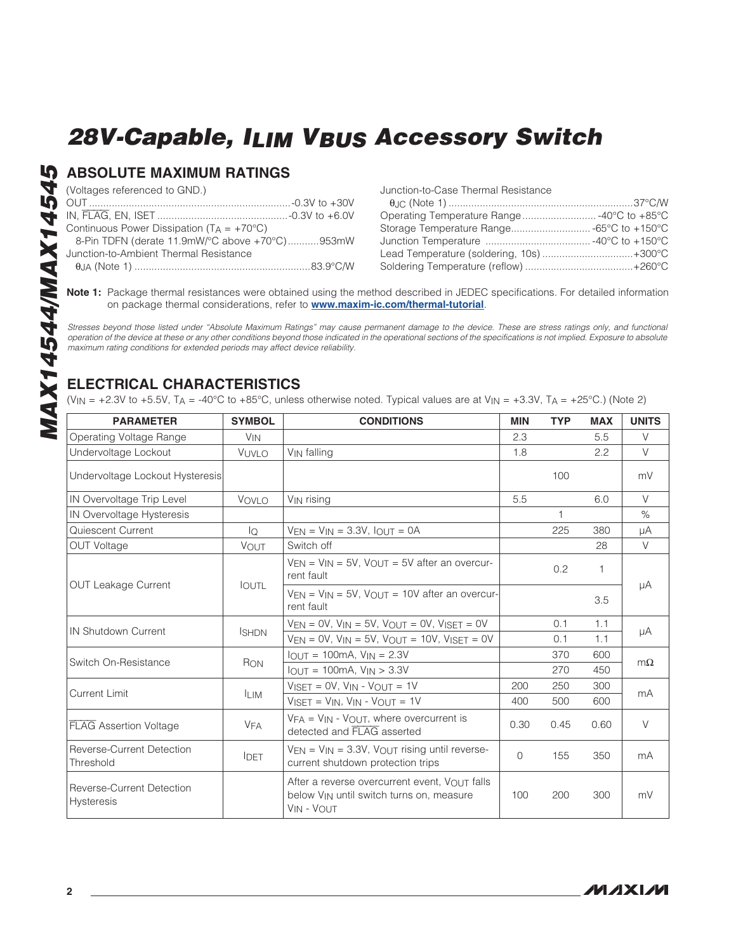### ABSOLUTE MAXIMUM RATINGS

(Voltages referenced to GND.)

| Continuous Power Dissipation ( $TA = +70^{\circ}C$ ) |                                                |
|------------------------------------------------------|------------------------------------------------|
|                                                      | 8-Pin TDFN (derate 11.9mW/°C above +70°C)953mW |
| Junction-to-Ambient Thermal Resistance               |                                                |
|                                                      |                                                |

| Junction-to-Case Thermal Resistance        |  |
|--------------------------------------------|--|
|                                            |  |
| Operating Temperature Range -40°C to +85°C |  |
| Storage Temperature Range -65°C to +150°C  |  |
|                                            |  |
| Lead Temperature (soldering, 10s)+300°C    |  |
|                                            |  |

Note 1: Package thermal resistances were obtained using the method described in JEDEC specifications. For detailed information on package thermal considerations, refer to **[www.maxim-ic.com/thermal-tutorial](http://www.maxim-ic.com/thermal-tutorial)**.

*Stresses beyond those listed under "Absolute Maximum Ratings" may cause permanent damage to the device. These are stress ratings only, and functional operation of the device at these or any other conditions beyond those indicated in the operational sections of the specifications is not implied. Exposure to absolute maximum rating conditions for extended periods may affect device reliability.*

### ELECTRICAL CHARACTERISTICS

(V<sub>IN</sub> = +2.3V to +5.5V, T<sub>A</sub> = -40°C to +85°C, unless otherwise noted. Typical values are at V<sub>IN</sub> = +3.3V, T<sub>A</sub> = +25°C.) (Note 2)

| <b>PARAMETER</b>                                      | <b>SYMBOL</b>         | <b>CONDITIONS</b>                                                                                                                | <b>MIN</b> | <b>TYP</b>   | <b>MAX</b> | <b>UNITS</b> |
|-------------------------------------------------------|-----------------------|----------------------------------------------------------------------------------------------------------------------------------|------------|--------------|------------|--------------|
| Operating Voltage Range                               | <b>V<sub>IN</sub></b> |                                                                                                                                  | 2.3        |              | 5.5        | $\vee$       |
| Undervoltage Lockout                                  | VUVLO                 | VIN falling                                                                                                                      | 1.8        |              | 2.2        | $\vee$       |
| Undervoltage Lockout Hysteresis                       |                       |                                                                                                                                  |            | 100          |            | mV           |
| IN Overvoltage Trip Level                             | VOVLO                 | V <sub>IN</sub> rising                                                                                                           | 5.5        |              | 6.0        | $\vee$       |
| IN Overvoltage Hysteresis                             |                       |                                                                                                                                  |            | $\mathbf{1}$ |            | $\%$         |
| Quiescent Current                                     | lQ                    | $V_{EN}$ = $V_{IN}$ = 3.3V, $I_{OUT}$ = 0A                                                                                       |            | 225          | 380        | μA           |
| <b>OUT Voltage</b>                                    | <b>VOUT</b>           | Switch off                                                                                                                       |            |              | 28         | $\vee$       |
|                                                       |                       | $V_{EN} = V_{IN} = 5V$ , $V_{OUT} = 5V$ after an overcur-<br>rent fault                                                          |            | 0.2          | 1          | μA           |
| <b>OUT Leakage Current</b>                            | <b>IOUTL</b>          | $V_{EN} = V_{IN} = 5V$ , $V_{OUT} = 10V$ after an overcur-<br>rent fault                                                         |            |              | 3.5        |              |
| IN Shutdown Current                                   |                       | $VEN = OV, VIN = 5V, VOUT = OV, VISET = OV$                                                                                      |            | 0.1          | 1.1        | μA           |
|                                                       | <b>ISHDN</b>          | $V_{EN} = 0V$ , $V_{IN} = 5V$ , $V_{OUT} = 10V$ , $V_{ISET} = 0V$                                                                |            | 0.1          | 1.1        |              |
| Switch On-Resistance                                  | RON                   | $IOUT = 100mA$ , $VIN = 2.3V$                                                                                                    |            | 370          | 600        | $m\Omega$    |
|                                                       |                       | $I_{OUT} = 100mA, V_{IN} > 3.3V$                                                                                                 |            | 270          | 450        |              |
| <b>Current Limit</b>                                  | <b>ILIM</b>           | $V\text{ISET} = \text{OV}$ , $V\text{IN} - V\text{OUT} = \text{1V}$                                                              | 200        | 250          | 300        | mA           |
|                                                       |                       | $V_{ISFT} = V_{IN}$ , $V_{IN} - V_{OUT} = 1V$                                                                                    | 400        | 500          | 600        |              |
| <b>FLAG</b> Assertion Voltage                         | <b>VFA</b>            | $VFA = VIN - VQUIT$ , where overcurrent is<br>detected and FLAG asserted                                                         | 0.30       | 0.45         | 0.60       | $\vee$       |
| <b>Reverse-Current Detection</b><br>Threshold         | <b>IDET</b>           | $V_{EN}$ = $V_{IN}$ = 3.3V, $V_{OUT}$ rising until reverse-<br>current shutdown protection trips                                 | 0          | 155          | 350        | mA           |
| <b>Reverse-Current Detection</b><br><b>Hysteresis</b> |                       | After a reverse overcurrent event, $V_{\Omega U}$ or falls<br>below V <sub>IN</sub> until switch turns on, measure<br>VIN - VOUT | 100        | 200          | 300        | mV           |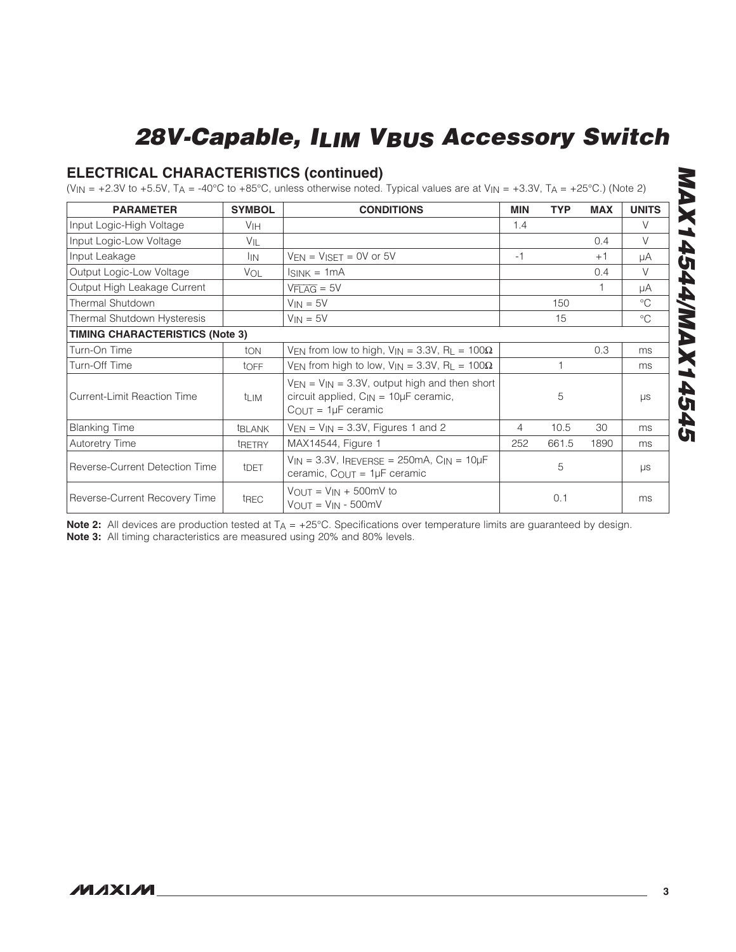### ELECTRICAL CHARACTERISTICS (continued)

(VIN = +2.3V to +5.5V, TA = -40°C to +85°C, unless otherwise noted. Typical values are at VIN = +3.3V, TA = +25°C.) (Note 2)

| <b>PARAMETER</b>                       | <b>SYMBOL</b>    | <b>CONDITIONS</b>                                                                                                                      | <b>MIN</b> | <b>TYP</b> | <b>MAX</b> | <b>UNITS</b> |  |
|----------------------------------------|------------------|----------------------------------------------------------------------------------------------------------------------------------------|------------|------------|------------|--------------|--|
| Input Logic-High Voltage               | V <sub>IH</sub>  |                                                                                                                                        | 1.4        |            |            | $\vee$       |  |
| Input Logic-Low Voltage                | $V_{\parallel}$  |                                                                                                                                        |            |            | 0.4        | $\vee$       |  |
| Input Leakage                          | <sup>I</sup> IN  | $V_{EN} = V_{ISET} = 0V$ or 5V                                                                                                         | $-1$       |            | $+1$       | μA           |  |
| Output Logic-Low Voltage               | <b>VOL</b>       | $ISINK = 1mA$                                                                                                                          |            |            | 0.4        | $\vee$       |  |
| Output High Leakage Current            |                  | $VFTAG = 5V$                                                                                                                           |            |            | 1          | μA           |  |
| Thermal Shutdown                       |                  | $V_{IN} = 5V$                                                                                                                          |            | 150        |            | $^{\circ}C$  |  |
| Thermal Shutdown Hysteresis            |                  | $V_{IN} = 5V$                                                                                                                          |            | 15         |            | $^{\circ}C$  |  |
| <b>TIMING CHARACTERISTICS (Note 3)</b> |                  |                                                                                                                                        |            |            |            |              |  |
| Turn-On Time                           | ton              | VEN from low to high, $V_{IN} = 3.3V$ , RL = 100 $\Omega$                                                                              |            |            | 0.3        | ms           |  |
| Turn-Off Time                          | toff             | VEN from high to low, $V_{IN} = 3.3V$ , RL = 100 $\Omega$                                                                              |            |            |            | ms           |  |
| Current-Limit Reaction Time            | <sup>t</sup> LIM | $VEN = VIN = 3.3V$ , output high and then short<br>circuit applied, $C_{\text{IN}} = 10 \mu F$ ceramic,<br>$C_{OUT} = 1 \mu F$ ceramic |            | 5          |            | μs           |  |
| <b>Blanking Time</b>                   | <b>EBLANK</b>    | $V_{EN}$ = $V_{IN}$ = 3.3V, Figures 1 and 2                                                                                            | 4          | 10.5       | 30         | ms           |  |
| <b>Autoretry Time</b>                  | tRETRY           | MAX14544, Figure 1                                                                                                                     | 252        | 661.5      | 1890       | ms           |  |
| Reverse-Current Detection Time         | t <sub>DET</sub> | $V_{IN}$ = 3.3V, IREVERSE = 250mA, $C_{IN}$ = 10 $\mu$ F<br>ceramic, $C_{OUT} = 1\mu F$ ceramic                                        |            | 5          |            | μs           |  |
| Reverse-Current Recovery Time          | tREC             | $V_{OUT} = V_{IN} + 500$ mV to<br>$V_{OUT} = V_{IN} - 500mV$                                                                           |            | 0.1        |            | ms           |  |

Note 2: All devices are production tested at  $T_A = +25^{\circ}C$ . Specifications over temperature limits are guaranteed by design. Note 3: All timing characteristics are measured using 20% and 80% levels.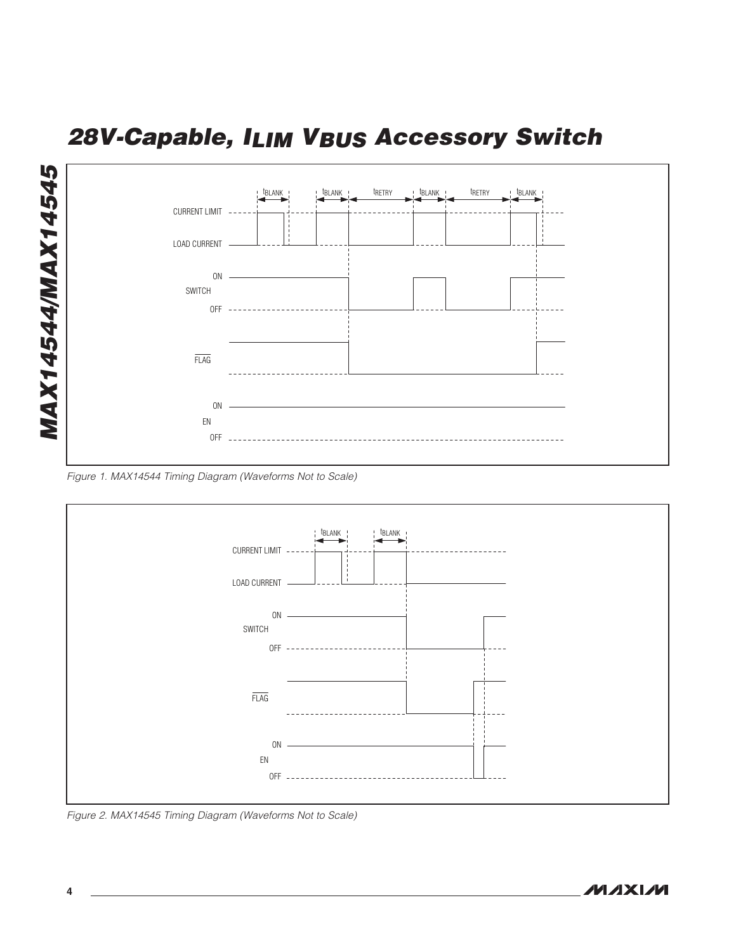

*Figure 1. MAX14544 Timing Diagram (Waveforms Not to Scale)*



*Figure 2. MAX14545 Timing Diagram (Waveforms Not to Scale)*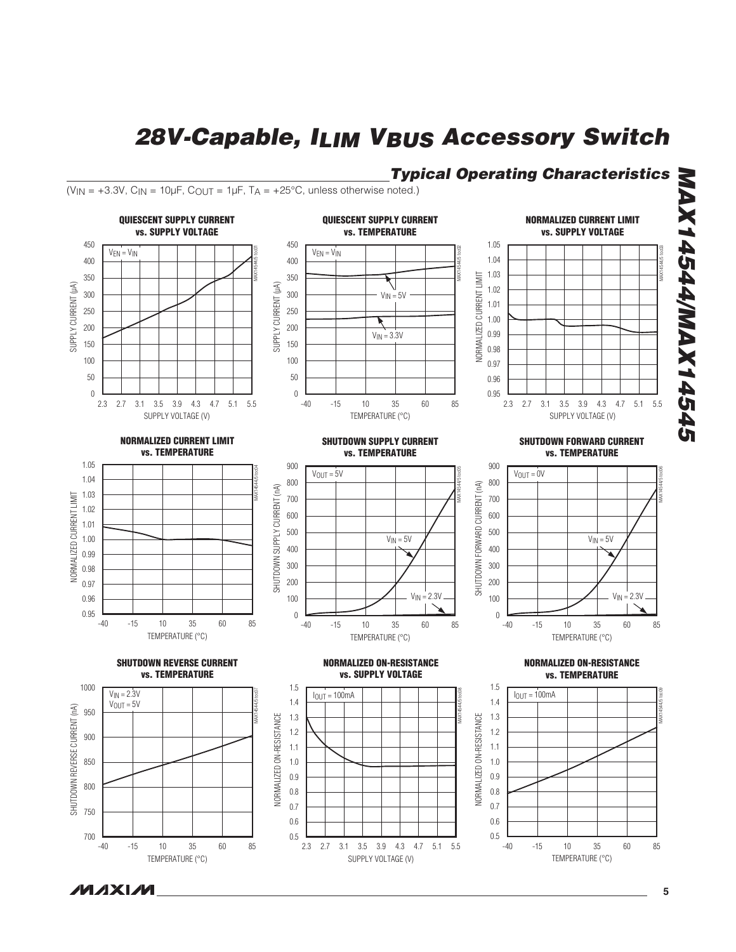## *Typical Operating Characteristics*

( $V_{IN}$  = +3.3V,  $C_{IN}$  = 10µF,  $C_{OUT}$  = 1µF,  $T_A$  = +25°C, unless otherwise noted.)



**MAXM**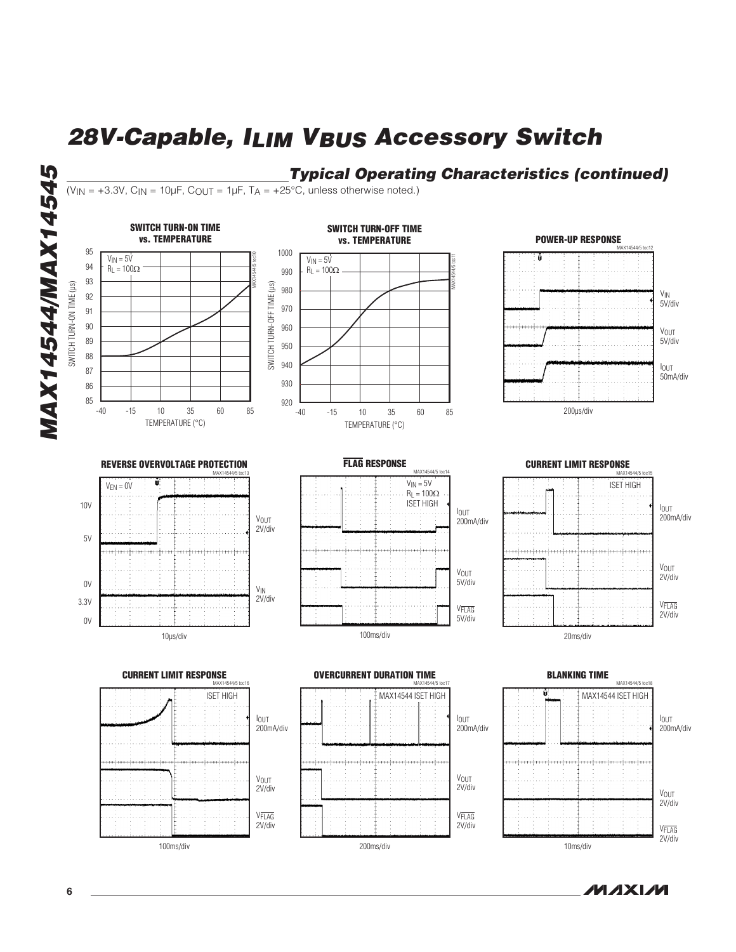## *Typical Operating Characteristics (continued)*

 $(V_{IN} = +3.3V, C_{IN} = 10 \mu F, C_{OUT} = 1 \mu F, T_A = +25^{\circ}C,$  unless otherwise noted.)

#### SWITCH TURN-ON TIME SWITCH TURN-OFF TIME vs. TEMPERATURE POWER-UP RESPONSEvs. TEMPERATURE MAX14544/5 toc12 95 1000  $V_{IN} = 5V$ MAX14544/5 toc10  $V_{IN} = 5V$ MAX14544/5 toc11 94  $R_L = 100\Omega$  $R_L = 100\Omega$ 990 93 SWITCH TURN-ON TIME (µs) SWITCH TURN-ON TIME (µs) SWITCH TURN-OFF TIME (µs) SWITCH TURN-OFF TIME (µs) 980 92 VIN 5V/div 970 91 90 960 VOUT 89 5V/div 950 88 940 IOUT 87 50mA/div 930 86 85 920 200µs/div -40 -15 10 35 60 85 -15 10 35 60 -15 10 35 60 -40 -15 10 35 60 85 TEMPERATURE (°C) TEMPERATURE (°C) FLAG RESPONSE REVERSE OVERVOLTAGE PROTECTION CURRENT LIMIT RESPONSE  $Y1A5AA/5$  to MAX14544/5 toc13 MAX14544/5 toc15  $V_{IN} = 5V$  $VEN = 0V$ ISET HIGH  $R<sub>L</sub> = 100Q$ ISET HIGH 10V IOUT IOUT 200mA/div VOUT 200mA/div 2V/div 5V عملم VOUT VOUT 2V/div 5V/div 0V  $\mathsf{V}_{\mathsf{IN}}$ 2V/div 3.3V VFLAG VFLAG 2V/div 5V/div 0V 100ms/div 10µs/div 20ms/div CURRENT LIMIT RESPONSE OVERCURRENT DURATION TIME BLANKING TIME MAX14544/5 toc18 MAX14544/5 toc16 MAX14544/5 toc17 ISET HIGH MAX14544 ISET HIGH MAX14544 ISET HIGH IOUT IOUT IOUT 200mA/div 200mA/div 200mA/div VOUT VOUT 2V/div 2V/div VOUT 2V/div VFLAG VFLAG 2V/div 2V/div VFLAG 2V/div

200ms/div

**NIXXIM** 

10ms/div

100ms/div

*MAX14544/MAX14545*

**MAX14544/MAX14545**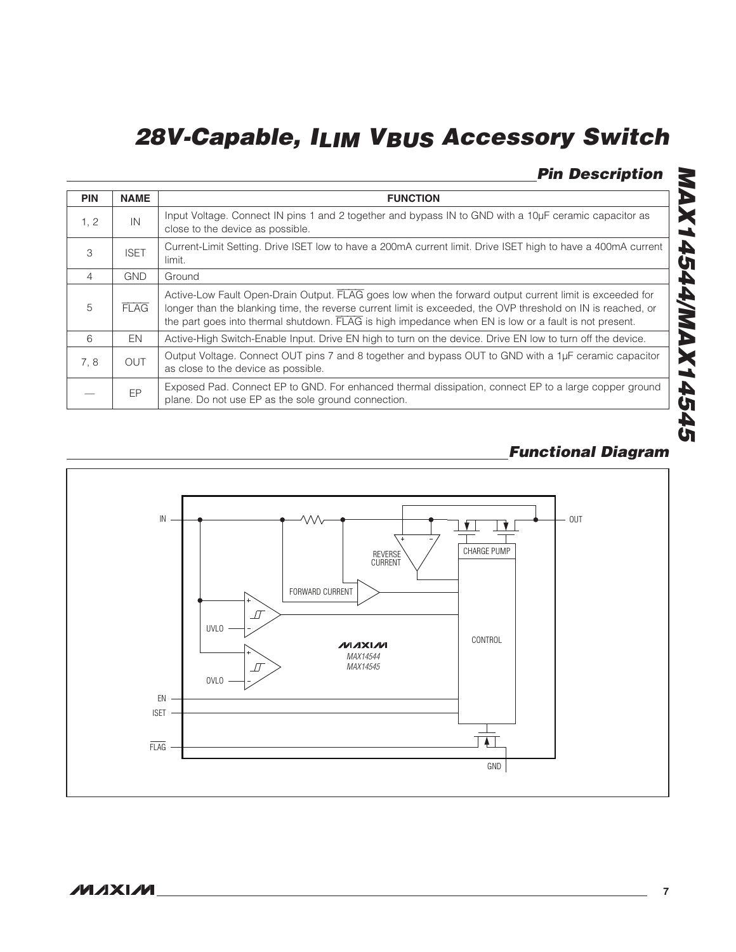## *Pin Description*

| <b>PIN</b>     | <b>NAME</b> | <b>FUNCTION</b>                                                                                                                                                                                                                                                                                                                  |
|----------------|-------------|----------------------------------------------------------------------------------------------------------------------------------------------------------------------------------------------------------------------------------------------------------------------------------------------------------------------------------|
| 1, 2           | IN          | Input Voltage. Connect IN pins 1 and 2 together and bypass IN to GND with a 10µF ceramic capacitor as<br>close to the device as possible.                                                                                                                                                                                        |
| 3              | <b>ISET</b> | Current-Limit Setting. Drive ISET low to have a 200mA current limit. Drive ISET high to have a 400mA current<br>limit.                                                                                                                                                                                                           |
| $\overline{4}$ | <b>GND</b>  | Ground                                                                                                                                                                                                                                                                                                                           |
| 5              | <b>FLAG</b> | Active-Low Fault Open-Drain Output. FLAG goes low when the forward output current limit is exceeded for<br>longer than the blanking time, the reverse current limit is exceeded, the OVP threshold on IN is reached, or<br>the part goes into thermal shutdown. FLAG is high impedance when EN is low or a fault is not present. |
| 6              | EN          | Active-High Switch-Enable Input. Drive EN high to turn on the device. Drive EN low to turn off the device.                                                                                                                                                                                                                       |
| 7.8            | OUT         | Output Voltage. Connect OUT pins 7 and 8 together and bypass OUT to GND with a 1µF ceramic capacitor<br>as close to the device as possible.                                                                                                                                                                                      |
|                | EP          | Exposed Pad. Connect EP to GND. For enhanced thermal dissipation, connect EP to a large copper ground<br>plane. Do not use EP as the sole ground connection.                                                                                                                                                                     |

## *Functional Diagram*

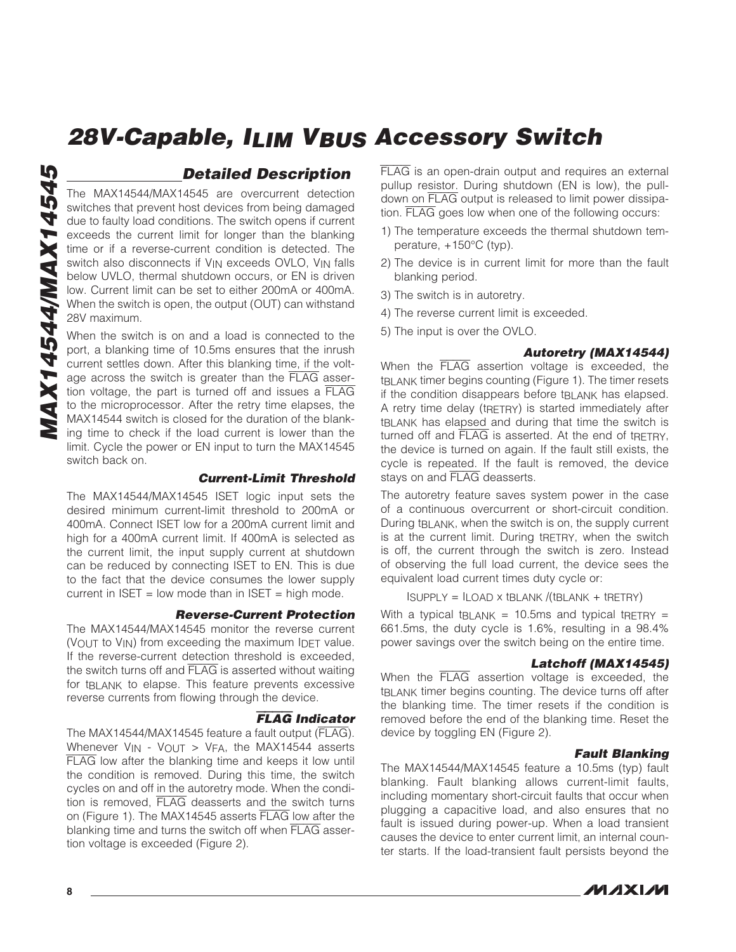### *Detailed Description*

The MAX14544/MAX14545 are overcurrent detection switches that prevent host devices from being damaged due to faulty load conditions. The switch opens if current exceeds the current limit for longer than the blanking time or if a reverse-current condition is detected. The switch also disconnects if V<sub>IN</sub> exceeds OVLO, V<sub>IN</sub> falls below UVLO, thermal shutdown occurs, or EN is driven low. Current limit can be set to either 200mA or 400mA. When the switch is open, the output (OUT) can withstand 28V maximum.

When the switch is on and a load is connected to the port, a blanking time of 10.5ms ensures that the inrush current settles down. After this blanking time, if the voltage across the switch is greater than the FLAG assertion voltage, the part is turned off and issues a FLAG to the microprocessor. After the retry time elapses, the MAX14544 switch is closed for the duration of the blanking time to check if the load current is lower than the limit. Cycle the power or EN input to turn the MAX14545 switch back on.

#### *Current-Limit Threshold*

The MAX14544/MAX14545 ISET logic input sets the desired minimum current-limit threshold to 200mA or 400mA. Connect ISET low for a 200mA current limit and high for a 400mA current limit. If 400mA is selected as the current limit, the input supply current at shutdown can be reduced by connecting ISET to EN. This is due to the fact that the device consumes the lower supply current in  $ISET = low mode than in ISET = high mode.$ 

#### *Reverse-Current Protection*

The MAX14544/MAX14545 monitor the reverse current (VOUT to VIN) from exceeding the maximum IDET value. If the reverse-current detection threshold is exceeded, the switch turns off and FLAG is asserted without waiting for tBLANK to elapse. This feature prevents excessive reverse currents from flowing through the device.

#### FLAG *Indicator*

The MAX14544/MAX14545 feature a fault output (FLAG). Whenever V<sub>IN</sub> - V<sub>OUT</sub> > V<sub>FA</sub>, the MAX14544 asserts FLAG low after the blanking time and keeps it low until the condition is removed. During this time, the switch cycles on and off in the autoretry mode. When the condition is removed, FLAG deasserts and the switch turns on (Figure 1). The MAX14545 asserts FLAG low after the blanking time and turns the switch off when FLAG assertion voltage is exceeded (Figure 2).

FLAG is an open-drain output and requires an external pullup resistor. During shutdown (EN is low), the pulldown on FLAG output is released to limit power dissipation. FLAG goes low when one of the following occurs:

- 1) The temperature exceeds the thermal shutdown temperature,  $+150^{\circ}$ C (typ).
- 2) The device is in current limit for more than the fault blanking period.
- 3) The switch is in autoretry.
- 4) The reverse current limit is exceeded.
- 5) The input is over the OVLO.

#### *Autoretry (MAX14544)*

When the FLAG assertion voltage is exceeded, the tBLANK timer begins counting (Figure 1). The timer resets if the condition disappears before tBLANK has elapsed. A retry time delay (tRETRY) is started immediately after tBLANK has elapsed and during that time the switch is turned off and FLAG is asserted. At the end of tRFTRY, the device is turned on again. If the fault still exists, the cycle is repeated. If the fault is removed, the device stays on and FLAG deasserts.

The autoretry feature saves system power in the case of a continuous overcurrent or short-circuit condition. During tBLANK, when the switch is on, the supply current is at the current limit. During tRETRY, when the switch is off, the current through the switch is zero. Instead of observing the full load current, the device sees the equivalent load current times duty cycle or:

 $I$ SUPPLY =  $I$ LOAD X  $I$ BLANK  $I$ ( $I$ BLANK +  $I$ RETRY)

With a typical tBLANK = 10.5ms and typical tRETRY = 661.5ms, the duty cycle is 1.6%, resulting in a 98.4% power savings over the switch being on the entire time.

#### *Latchoff (MAX14545)*

When the FLAG assertion voltage is exceeded, the tBLANK timer begins counting. The device turns off after the blanking time. The timer resets if the condition is removed before the end of the blanking time. Reset the device by toggling EN (Figure 2).

#### *Fault Blanking*

The MAX14544/MAX14545 feature a 10.5ms (typ) fault blanking. Fault blanking allows current-limit faults, including momentary short-circuit faults that occur when plugging a capacitive load, and also ensures that no fault is issued during power-up. When a load transient causes the device to enter current limit, an internal counter starts. If the load-transient fault persists beyond the

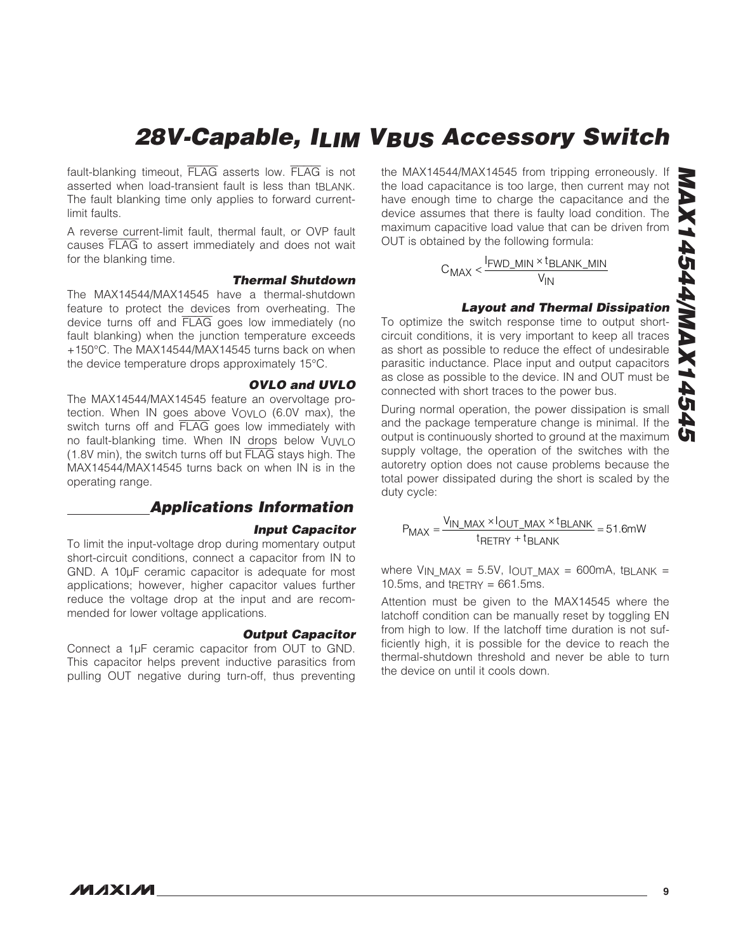fault-blanking timeout, FLAG asserts low. FLAG is not asserted when load-transient fault is less than tBLANK. The fault blanking time only applies to forward currentlimit faults.

A reverse current-limit fault, thermal fault, or OVP fault causes FLAG to assert immediately and does not wait for the blanking time.

#### *Thermal Shutdown*

The MAX14544/MAX14545 have a thermal-shutdown feature to protect the devices from overheating. The device turns off and FLAG goes low immediately (no fault blanking) when the junction temperature exceeds +150°C. The MAX14544/MAX14545 turns back on when the device temperature drops approximately  $15^{\circ}$ C.

#### *OVLO and UVLO*

The MAX14544/MAX14545 feature an overvoltage protection. When IN goes above VOVLO (6.0V max), the switch turns off and FLAG goes low immediately with no fault-blanking time. When IN drops below VUVLO (1.8V min), the switch turns off but FLAG stays high. The MAX14544/MAX14545 turns back on when IN is in the operating range.

### *Applications Information*

#### *Input Capacitor*

To limit the input-voltage drop during momentary output short-circuit conditions, connect a capacitor from IN to GND. A 10µF ceramic capacitor is adequate for most applications; however, higher capacitor values further reduce the voltage drop at the input and are recommended for lower voltage applications.

#### *Output Capacitor*

Connect a 1µF ceramic capacitor from OUT to GND. This capacitor helps prevent inductive parasitics from pulling OUT negative during turn-off, thus preventing

the MAX14544/MAX14545 from tripping erroneously. If the load capacitance is too large, then current may not have enough time to charge the capacitance and the device assumes that there is faulty load condition. The maximum capacitive load value that can be driven from OUT is obtained by the following formula:

$$
C_{MAX} < \frac{I_{FWD\_MIN} \times t_{BLANK\_MIN}}{V_{IN}}
$$

#### *Layout and Thermal Dissipation*

To optimize the switch response time to output shortcircuit conditions, it is very important to keep all traces as short as possible to reduce the effect of undesirable parasitic inductance. Place input and output capacitors as close as possible to the device. IN and OUT must be connected with short traces to the power bus.

During normal operation, the power dissipation is small and the package temperature change is minimal. If the output is continuously shorted to ground at the maximum supply voltage, the operation of the switches with the autoretry option does not cause problems because the total power dissipated during the short is scaled by the duty cycle:

$$
P_{MAX} = \frac{V_{IN\_MAX} \times I_{OUT\_MAX} \times t_{BLANK}}{t_{RETRY} + t_{BLANK}} = 51.6 \text{mW}
$$

where V<sub>IN</sub> MAX = 5.5V, IOUT MAX = 600mA, tBLANK = 10.5ms, and  $t$ RETRY = 661.5ms.

Attention must be given to the MAX14545 where the latchoff condition can be manually reset by toggling EN from high to low. If the latchoff time duration is not sufficiently high, it is possible for the device to reach the thermal-shutdown threshold and never be able to turn the device on until it cools down.